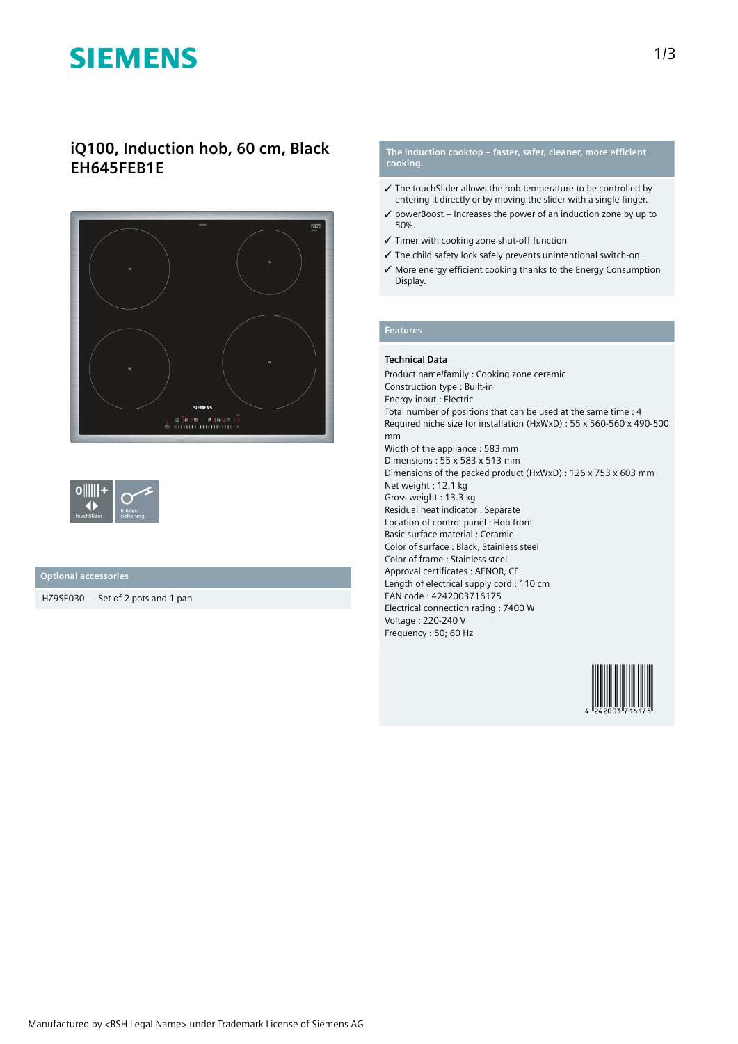# **SIEMENS**

# **iQ100, Induction hob, 60 cm, Black EH645FEB1E**





## **Optional accessories**

HZ9SE030 Set of 2 pots and 1 pan

### **The induction cooktop – faster, safer, cleaner, more efficient cooking.**

- ✓ The touchSlider allows the hob temperature to be controlled by entering it directly or by moving the slider with a single finger.
- $\checkmark$  powerBoost Increases the power of an induction zone by up to 50%.
- ✓ Timer with cooking zone shut-off function
- ✓ The child safety lock safely prevents unintentional switch-on.
- ✓ More energy efficient cooking thanks to the Energy Consumption Display.

### **Features**

### **Technical Data**

Product name/family : Cooking zone ceramic Construction type : Built-in Energy input : Electric Total number of positions that can be used at the same time : 4 Required niche size for installation (HxWxD) : 55 x 560-560 x 490-500 mm Width of the appliance : 583 mm Dimensions : 55 x 583 x 513 mm Dimensions of the packed product (HxWxD) : 126 x 753 x 603 mm Net weight : 12.1 kg Gross weight : 13.3 kg Residual heat indicator : Separate Location of control panel : Hob front Basic surface material : Ceramic Color of surface : Black, Stainless steel Color of frame : Stainless steel Approval certificates : AENOR, CE Length of electrical supply cord : 110 cm EAN code : 4242003716175 Electrical connection rating : 7400 W Voltage : 220-240 V Frequency : 50; 60 Hz

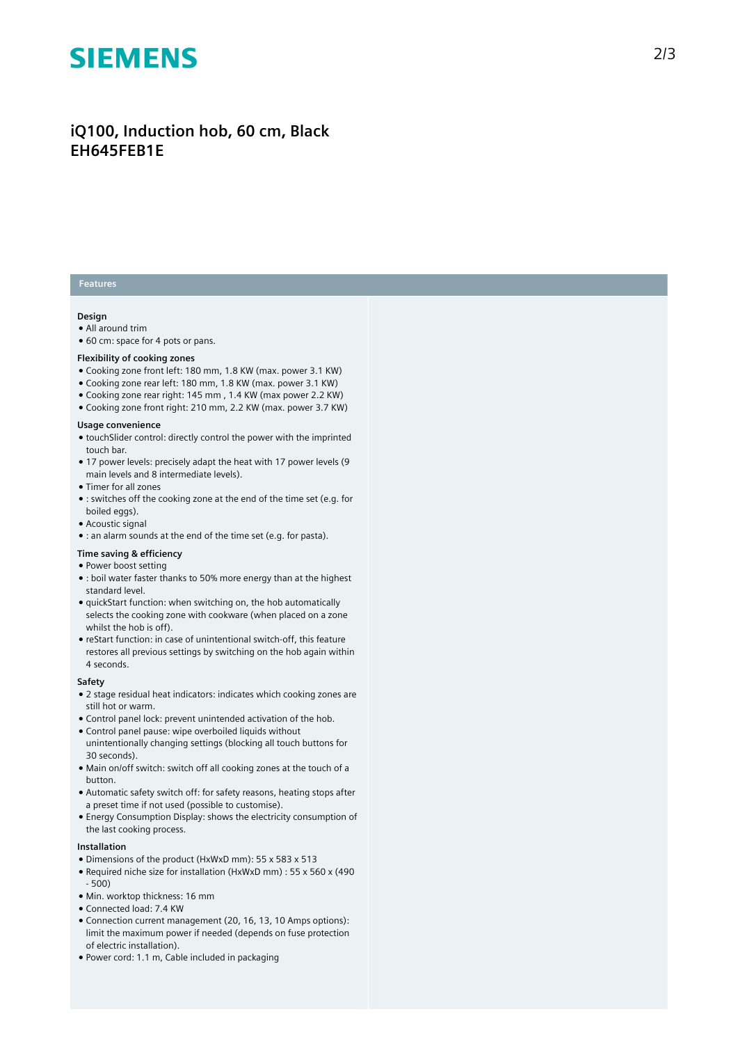# **SIEMENS**

# iQ100, Induction hob, 60 cm, Black **EH645FEB1E**

## **Features**

### **Design**

- $\bullet$  All around trim
- 60 cm: space for 4 pots or pans.

#### Flexibility of cooking zones

- Cooking zone front left: 180 mm, 1.8 KW (max. power 3.1 KW)
- Cooking zone rear left: 180 mm, 1.8 KW (max. power 3.1 KW)
- Cooking zone rear right: 145 mm, 1.4 KW (max power 2.2 KW)
- $\bullet$  Cooking zone front right: 210 mm, 2.2 KW (max. power 3.7 KW)

#### Usage convenience

- touchSlider control: directly control the power with the imprinted touch bar.
- 17 power levels: precisely adapt the heat with 17 power levels (9 main levels and 8 intermediate levels).
- Timer for all zones
- : switches off the cooking zone at the end of the time set (e.g. for boiled eggs).
- Acoustic signal
- : an alarm sounds at the end of the time set (e.g. for pasta).

#### **T i m e s a v i n g & e f fi c i e n c y**

- Power boost setting
- $\bullet$  : boil water faster thanks to 50% more energy than at the highest standard level.
- quickStart function: when switching on, the hob automatically selects the cooking zone with cookware (when placed on a zone whilst the hob is off).
- reStart function: in case of unintentional switch-off, this feature restores all previous settings by switching on the hob again within 4 seconds.

#### **S a f e t y**

- $\bullet$  2 stage residual heat indicators: indicates which cooking zones are still hot or warm.
- Control panel lock: prevent unintended activation of the hob.
- Control panel pause: wipe overboiled liquids without unintentionally changing settings (blocking all touch buttons for 30 seconds).
- Main on/off switch: switch off all cooking zones at the touch of a button.
- Automatic safety switch off: for safety reasons, heating stops after a preset time if not used (possible to customise).
- $\bullet$  Energy Consumption Display: shows the electricity consumption of the last cooking process.

#### **I n s t a l l a t i o n**

- Dimensions of the product (HxWxD mm): 55 x 583 x 513
- Required niche size for installation (HxWxD mm) : 55 x 560 x (490  $-500$
- Min. worktop thickness: 16 mm
- Connected load: 7.4 KW
- Connection current management (20, 16, 13, 10 Amps options): limit the maximum power if needed (depends on fuse protection of electric installation).
- Power cord: 1.1 m, Cable included in packaging